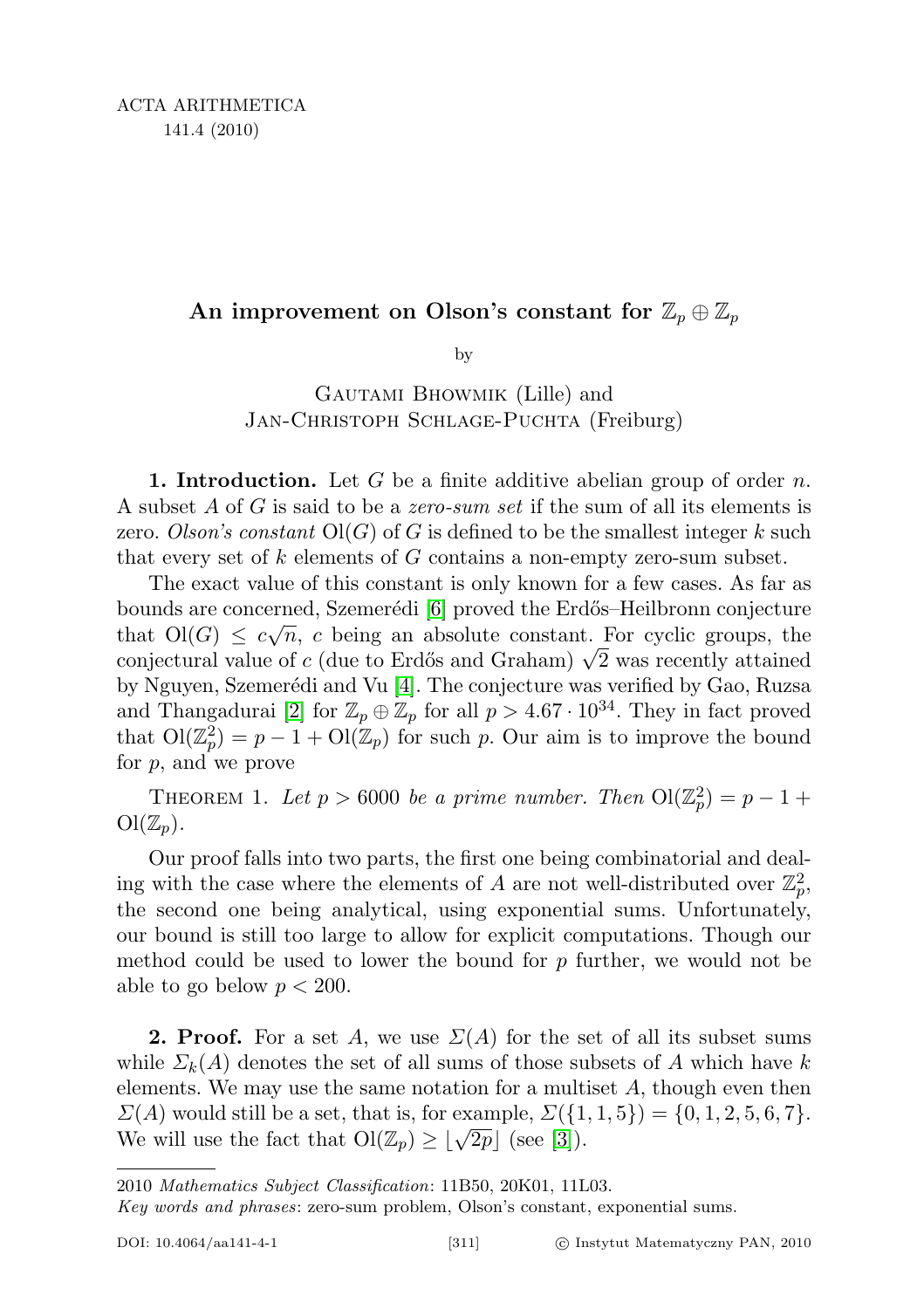## An improvement on Olson's constant for  $\mathbb{Z}_p \oplus \mathbb{Z}_p$

by

Gautami Bhowmik (Lille) and Jan-Christoph Schlage-Puchta (Freiburg)

**1. Introduction.** Let G be a finite additive abelian group of order n. A subset A of G is said to be a zero-sum set if the sum of all its elements is zero. Olson's constant  $O(G)$  of G is defined to be the smallest integer k such that every set of  $k$  elements of  $G$  contains a non-empty zero-sum subset.

The exact value of this constant is only known for a few cases. As far as bounds are concerned, Szemerédi [\[6\]](#page-8-0) proved the Erdős–Heilbronn conjecture that  $O(G) \leq c\sqrt{n}$ , c being an absolute constant. For cyclic groups, the that  $O(G) \leq c\sqrt{n}$ , c being an absolute constant. For cyclic groups, the conjectural value of c (due to Erdős and Graham)  $\sqrt{2}$  was recently attained by Nguyen, Szemerédi and Vu [\[4\]](#page-7-0). The conjecture was verified by Gao, Ruzsa and Thangadurai [\[2\]](#page-7-1) for  $\mathbb{Z}_p \oplus \mathbb{Z}_p$  for all  $p > 4.67 \cdot 10^{34}$ . They in fact proved that  $\mathrm{Ol}(\mathbb{Z}_p^2)=p-1+\mathrm{ Ol}(\mathbb{Z}_p)$  for such p. Our aim is to improve the bound for p, and we prove

<span id="page-0-0"></span>THEOREM 1. Let  $p > 6000$  be a prime number. Then  $\text{Ol}(\mathbb{Z}_p^2) = p - 1 +$  $\mathrm{Ol}(\mathbb{Z}_p).$ 

Our proof falls into two parts, the first one being combinatorial and dealing with the case where the elements of A are not well-distributed over  $\mathbb{Z}_p^2$ , the second one being analytical, using exponential sums. Unfortunately, our bound is still too large to allow for explicit computations. Though our method could be used to lower the bound for  $p$  further, we would not be able to go below  $p < 200$ .

**2. Proof.** For a set A, we use  $\Sigma(A)$  for the set of all its subset sums while  $\Sigma_k(A)$  denotes the set of all sums of those subsets of A which have k elements. We may use the same notation for a multiset  $A$ , though even then  $\Sigma(A)$  would still be a set, that is, for example,  $\Sigma({1, 1, 5}) = {0, 1, 2, 5, 6, 7}.$  $\mathbb{Z}(A)$  would still be a set, that is, for example,  $\mathbb{Z}(\{1\})$ .<br>We will use the fact that  $\mathrm{O}(\mathbb{Z}_p) \geq \lfloor \sqrt{2p} \rfloor$  (see [\[3\]](#page-7-2)).

<sup>2010</sup> Mathematics Subject Classification: 11B50, 20K01, 11L03.

Key words and phrases: zero-sum problem, Olson's constant, exponential sums.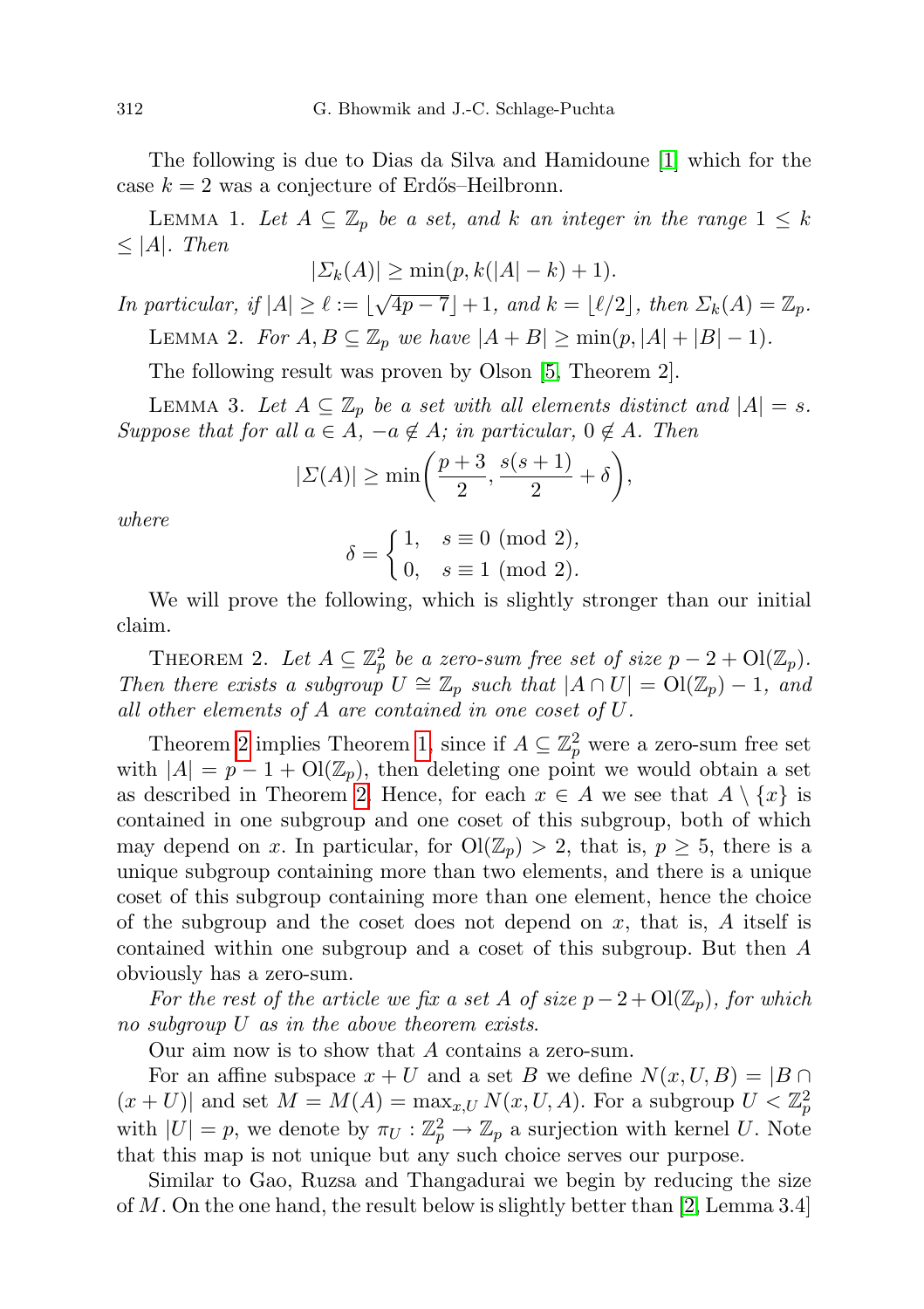The following is due to Dias da Silva and Hamidoune [\[1\]](#page-7-3) which for the case  $k = 2$  was a conjecture of Erdős–Heilbronn.

<span id="page-1-1"></span>LEMMA 1. Let  $A \subseteq \mathbb{Z}_p$  be a set, and k an integer in the range  $1 \leq k$  $\leq$  |A|. Then

$$
|\Sigma_k(A)| \ge \min(p, k(|A| - k) + 1).
$$

<span id="page-1-2"></span>In particular, if  $|A| \ge \ell := \lfloor \sqrt{4p-7} \rfloor + 1$ , and  $k = \lfloor \ell/2 \rfloor$ , then  $\Sigma_k(A) = \mathbb{Z}_p$ . LEMMA 2. For  $A, B \subseteq \mathbb{Z}_p$  we have  $|A + B| \ge \min(p, |A| + |B| - 1)$ .

The following result was proven by Olson [\[5,](#page-7-4) Theorem 2].

<span id="page-1-3"></span>LEMMA 3. Let  $A \subseteq \mathbb{Z}_p$  be a set with all elements distinct and  $|A| = s$ . Suppose that for all  $a \in A$ ,  $-a \notin A$ ; in particular,  $0 \notin A$ . Then

$$
|\Sigma(A)| \ge \min\left(\frac{p+3}{2}, \frac{s(s+1)}{2} + \delta\right),\,
$$

where

$$
\delta = \begin{cases} 1, & s \equiv 0 \pmod{2}, \\ 0, & s \equiv 1 \pmod{2}. \end{cases}
$$

We will prove the following, which is slightly stronger than our initial claim.

<span id="page-1-0"></span>THEOREM 2. Let  $A \subseteq \mathbb{Z}_p^2$  be a zero-sum free set of size  $p - 2 + O(\mathbb{Z}_p)$ . Then there exists a subgroup  $U \cong \mathbb{Z}_p$  such that  $|A \cap U| = \mathrm{Ol}(\mathbb{Z}_p) - 1$ , and all other elements of A are contained in one coset of U.

Theorem [2](#page-1-0) implies Theorem [1,](#page-0-0) since if  $A \subseteq \mathbb{Z}_p^2$  were a zero-sum free set with  $|A| = p - 1 + O(\mathbb{Z}_p)$ , then deleting one point we would obtain a set as described in Theorem [2.](#page-1-0) Hence, for each  $x \in A$  we see that  $A \setminus \{x\}$  is contained in one subgroup and one coset of this subgroup, both of which may depend on x. In particular, for  $\text{Ol}(\mathbb{Z}_p) > 2$ , that is,  $p \geq 5$ , there is a unique subgroup containing more than two elements, and there is a unique coset of this subgroup containing more than one element, hence the choice of the subgroup and the coset does not depend on  $x$ , that is,  $A$  itself is contained within one subgroup and a coset of this subgroup. But then A obviously has a zero-sum.

For the rest of the article we fix a set A of size  $p-2+O(\mathbb{Z}_p)$ , for which no subgroup U as in the above theorem exists.

Our aim now is to show that A contains a zero-sum.

For an affine subspace  $x + U$  and a set B we define  $N(x, U, B) = |B \cap$  $(x+U)$  and set  $M = M(A) = \max_{x,U} N(x, U, A)$ . For a subgroup  $U < \mathbb{Z}_p^2$ with  $|U| = p$ , we denote by  $\pi_U : \mathbb{Z}_p^2 \to \mathbb{Z}_p$  a surjection with kernel U. Note that this map is not unique but any such choice serves our purpose.

Similar to Gao, Ruzsa and Thangadurai we begin by reducing the size of M. On the one hand, the result below is slightly better than [\[2,](#page-7-1) Lemma 3.4]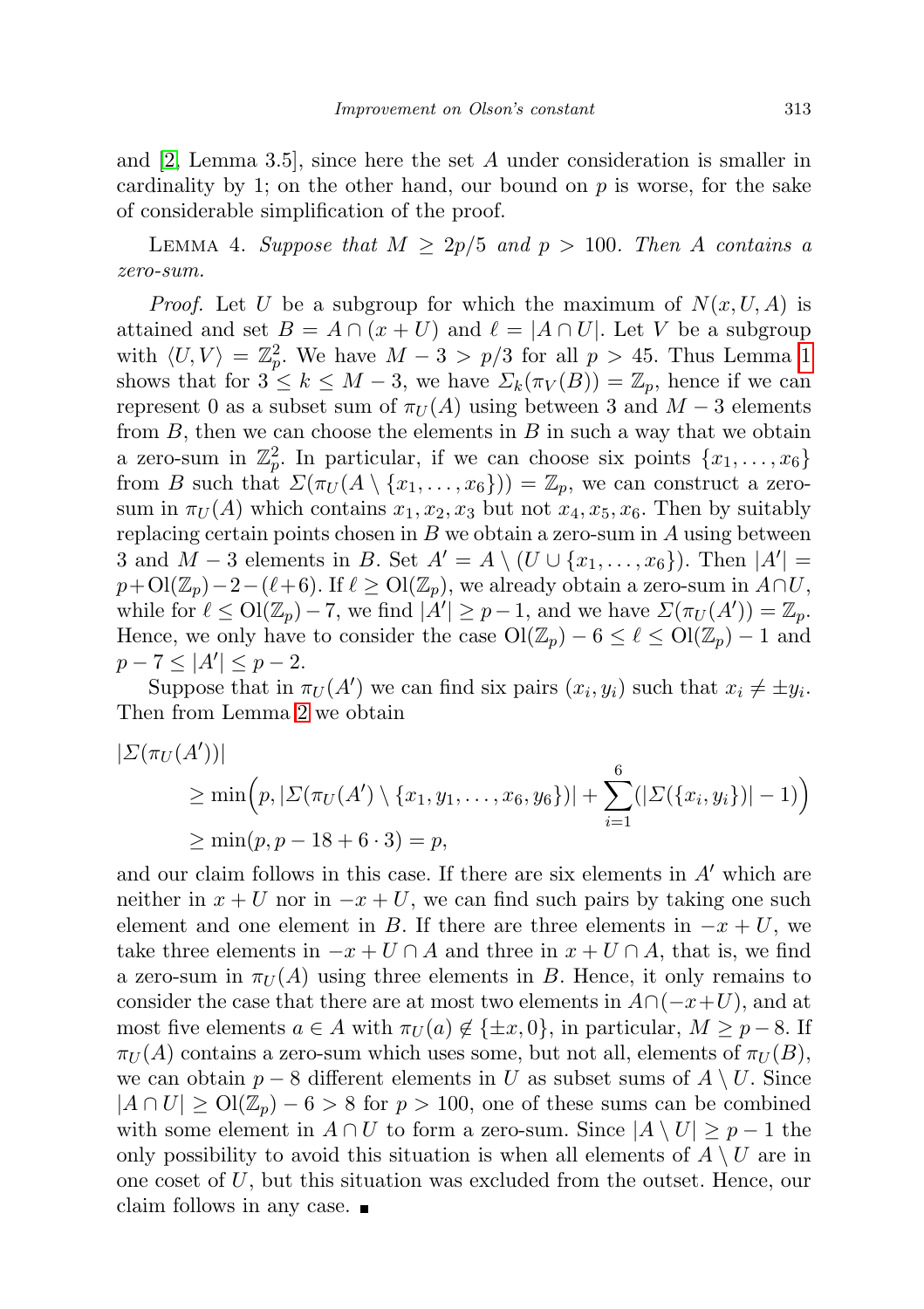and [\[2,](#page-7-1) Lemma 3.5], since here the set A under consideration is smaller in cardinality by 1; on the other hand, our bound on  $p$  is worse, for the sake of considerable simplification of the proof.

LEMMA 4. Suppose that  $M \geq 2p/5$  and  $p > 100$ . Then A contains a zero-sum.

*Proof.* Let U be a subgroup for which the maximum of  $N(x, U, A)$  is attained and set  $B = A \cap (x + U)$  and  $\ell = |A \cap U|$ . Let V be a subgroup with  $\langle U, V \rangle = \mathbb{Z}_p^2$ . We have  $M - 3 > p/3$  for all  $p > 45$ . Thus Lemma [1](#page-1-1) shows that for  $3 \leq k \leq M-3$ , we have  $\Sigma_k(\pi_V(B)) = \mathbb{Z}_p$ , hence if we can represent 0 as a subset sum of  $\pi_U(A)$  using between 3 and  $M-3$  elements from  $B$ , then we can choose the elements in  $B$  in such a way that we obtain a zero-sum in  $\mathbb{Z}_p^2$ . In particular, if we can choose six points  $\{x_1, \ldots, x_6\}$ from B such that  $\Sigma(\pi_U(A \setminus \{x_1,\ldots,x_6\})) = \mathbb{Z}_p$ , we can construct a zerosum in  $\pi_U(A)$  which contains  $x_1, x_2, x_3$  but not  $x_4, x_5, x_6$ . Then by suitably replacing certain points chosen in  $B$  we obtain a zero-sum in  $A$  using between 3 and  $M-3$  elements in B. Set  $A'=A\setminus (U\cup \{x_1,\ldots,x_6\})$ . Then  $|A'|=$  $p+\mathrm{Ol}(\mathbb{Z}_p)-2-(\ell+6).$  If  $\ell \geq \mathrm{Ol}(\mathbb{Z}_p)$ , we already obtain a zero-sum in  $A\cap U$ , while for  $\ell \leq \text{Ol}(\mathbb{Z}_p) - 7$ , we find  $|A'| \geq p-1$ , and we have  $\Sigma(\pi_U(A')) = \mathbb{Z}_p$ . Hence, we only have to consider the case  $\text{Ol}(\mathbb{Z}_p) - 6 \leq \ell \leq \text{Ol}(\mathbb{Z}_p) - 1$  and  $p - 7 \leq |A'| \leq p - 2.$ 

Suppose that in  $\pi_U(A')$  we can find six pairs  $(x_i, y_i)$  such that  $x_i \neq \pm y_i$ . Then from Lemma [2](#page-1-2) we obtain

$$
|\Sigma(\pi_U(A'))|
$$
  
\n
$$
\geq \min(p, |\Sigma(\pi_U(A') \setminus \{x_1, y_1, \dots, x_6, y_6\})| + \sum_{i=1}^{6} (|\Sigma(\{x_i, y_i\})| - 1)\right)
$$
  
\n
$$
\geq \min(p, p - 18 + 6 \cdot 3) = p,
$$

and our claim follows in this case. If there are six elements in  $A'$  which are neither in  $x + U$  nor in  $-x + U$ , we can find such pairs by taking one such element and one element in B. If there are three elements in  $-x + U$ , we take three elements in  $-x+U \cap A$  and three in  $x+U \cap A$ , that is, we find a zero-sum in  $\pi_U(A)$  using three elements in B. Hence, it only remains to consider the case that there are at most two elements in  $A\cap(-x+U)$ , and at most five elements  $a \in A$  with  $\pi_U(a) \notin \{\pm x, 0\}$ , in particular,  $M \geq p-8$ . If  $\pi_U(A)$  contains a zero-sum which uses some, but not all, elements of  $\pi_U(B)$ , we can obtain  $p-8$  different elements in U as subset sums of  $A \setminus U$ . Since  $|A \cap U| \ge O(|\mathbb{Z}_p| - 6 > 8$  for  $p > 100$ , one of these sums can be combined with some element in  $A \cap U$  to form a zero-sum. Since  $|A \setminus U| \geq p-1$  the only possibility to avoid this situation is when all elements of  $A \setminus U$  are in one coset of  $U$ , but this situation was excluded from the outset. Hence, our claim follows in any case.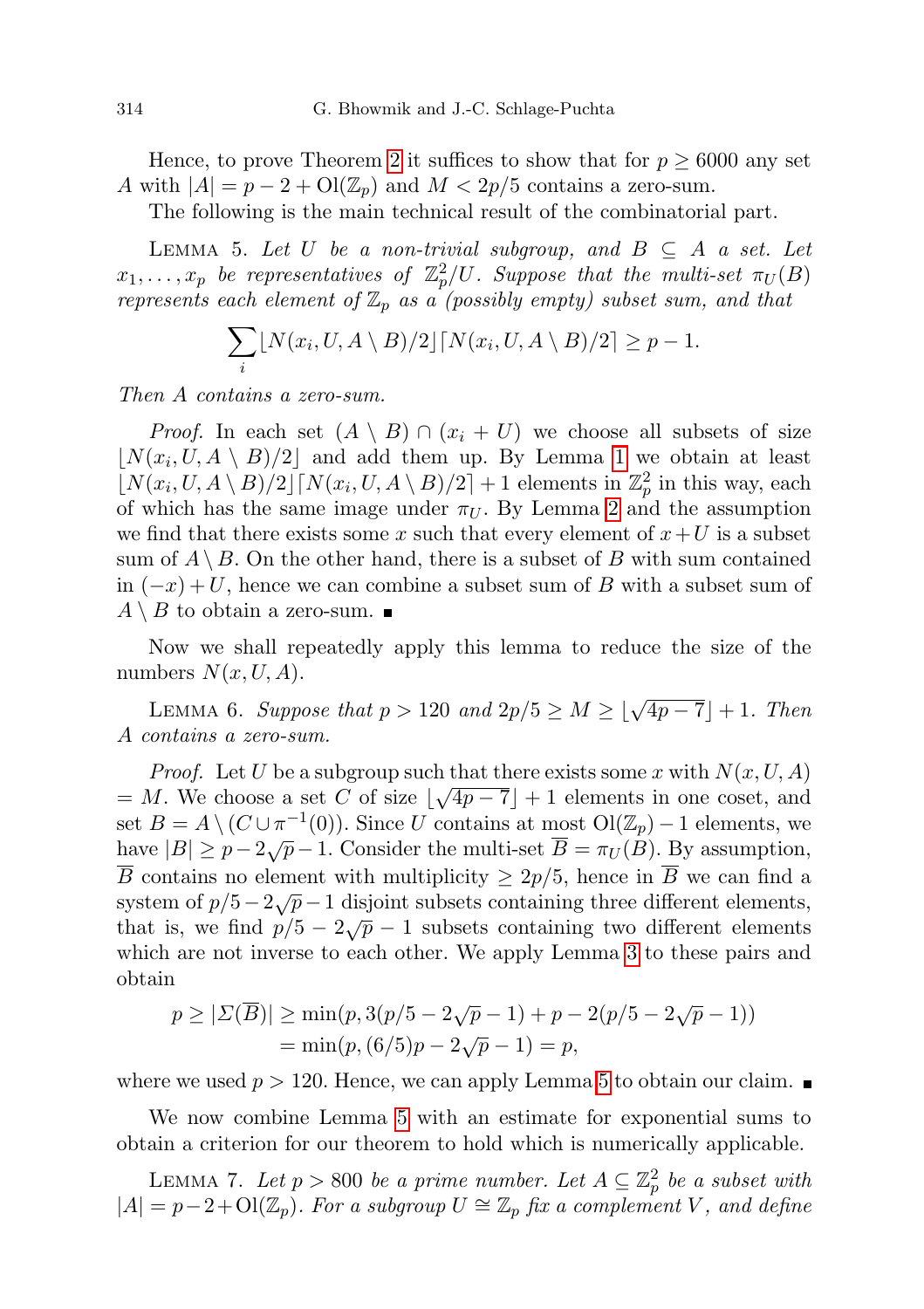Hence, to prove Theorem [2](#page-1-0) it suffices to show that for  $p \geq 6000$  any set A with  $|A| = p - 2 + O(\mathbb{Z}_p)$  and  $M < 2p/5$  contains a zero-sum.

The following is the main technical result of the combinatorial part.

<span id="page-3-0"></span>LEMMA 5. Let U be a non-trivial subgroup, and  $B \subseteq A$  a set. Let  $x_1, \ldots, x_p$  be representatives of  $\mathbb{Z}_p^2/U$ . Suppose that the multi-set  $\pi_U(B)$ represents each element of  $\mathbb{Z}_p$  as a (possibly empty) subset sum, and that

$$
\sum_{i} \lfloor N(x_i, U, A \setminus B)/2 \rfloor \lceil N(x_i, U, A \setminus B)/2 \rceil \ge p - 1.
$$

Then A contains a zero-sum.

*Proof.* In each set  $(A \setminus B) \cap (x_i + U)$  we choose all subsets of size  $\lfloor N(x_i, U, A \setminus B)/2 \rfloor$  and add them up. By Lemma [1](#page-1-1) we obtain at least  $\left[ N(x_i, U, A \setminus B)/2 \right]$   $\left[ N(x_i, U, A \setminus B)/2 \right] + 1$  elements in  $\mathbb{Z}_p^2$  in this way, each of which has the same image under  $\pi_U$ . By Lemma [2](#page-1-2) and the assumption we find that there exists some x such that every element of  $x+U$  is a subset sum of  $A \setminus B$ . On the other hand, there is a subset of B with sum contained in  $(-x) + U$ , hence we can combine a subset sum of B with a subset sum of  $A \setminus B$  to obtain a zero-sum.

Now we shall repeatedly apply this lemma to reduce the size of the numbers  $N(x, U, A)$ .

LEMMA 6. Suppose that  $p > 120$  and  $2p/5 \ge M \ge \lfloor \sqrt{4p-7} \rfloor + 1$ . Then A contains a zero-sum.

*Proof.* Let U be a subgroup such that there exists some x with  $N(x, U, A)$  $= M$ . We choose a set C of size  $\lfloor \sqrt{4p-7} \rfloor + 1$  elements in one coset, and set  $B = A \setminus (C \cup \pi^{-1}(0))$ . Since U contains at most  $\mathrm{Ol}(\mathbb{Z}_p) - 1$  elements, we have  $|B| \ge p - 2\sqrt{p} - 1$ . Consider the multi-set  $\overline{B} = \pi_U(B)$ . By assumption,  $\overline{B}$  contains no element with multiplicity  $\geq 2p/5$ , hence in  $\overline{B}$  we can find a B contains no element with multiplicity  $\geq 2p/5$ , hence in B we can find a system of  $p/5-2\sqrt{p}-1$  disjoint subsets containing three different elements, that is, we find  $p/5 - 2\sqrt{p} - 1$  subsets containing three different elements, that is, we find  $p/5 - 2\sqrt{p} - 1$  subsets containing two different elements which are not inverse to each other. We apply Lemma [3](#page-1-3) to these pairs and obtain

$$
p \ge |\Sigma(\overline{B})| \ge \min(p, 3(p/5 - 2\sqrt{p} - 1) + p - 2(p/5 - 2\sqrt{p} - 1))
$$
  
=  $\min(p, (6/5)p - 2\sqrt{p} - 1) = p$ ,

where we used  $p > 120$ . Hence, we can apply Lemma [5](#page-3-0) to obtain our claim.

We now combine Lemma [5](#page-3-0) with an estimate for exponential sums to obtain a criterion for our theorem to hold which is numerically applicable.

<span id="page-3-1"></span>LEMMA 7. Let  $p > 800$  be a prime number. Let  $A \subseteq \mathbb{Z}_p^2$  be a subset with  $|A| = p-2+O(\mathbb{Z}_p)$ . For a subgroup  $U \cong \mathbb{Z}_p$  fix a complement V, and define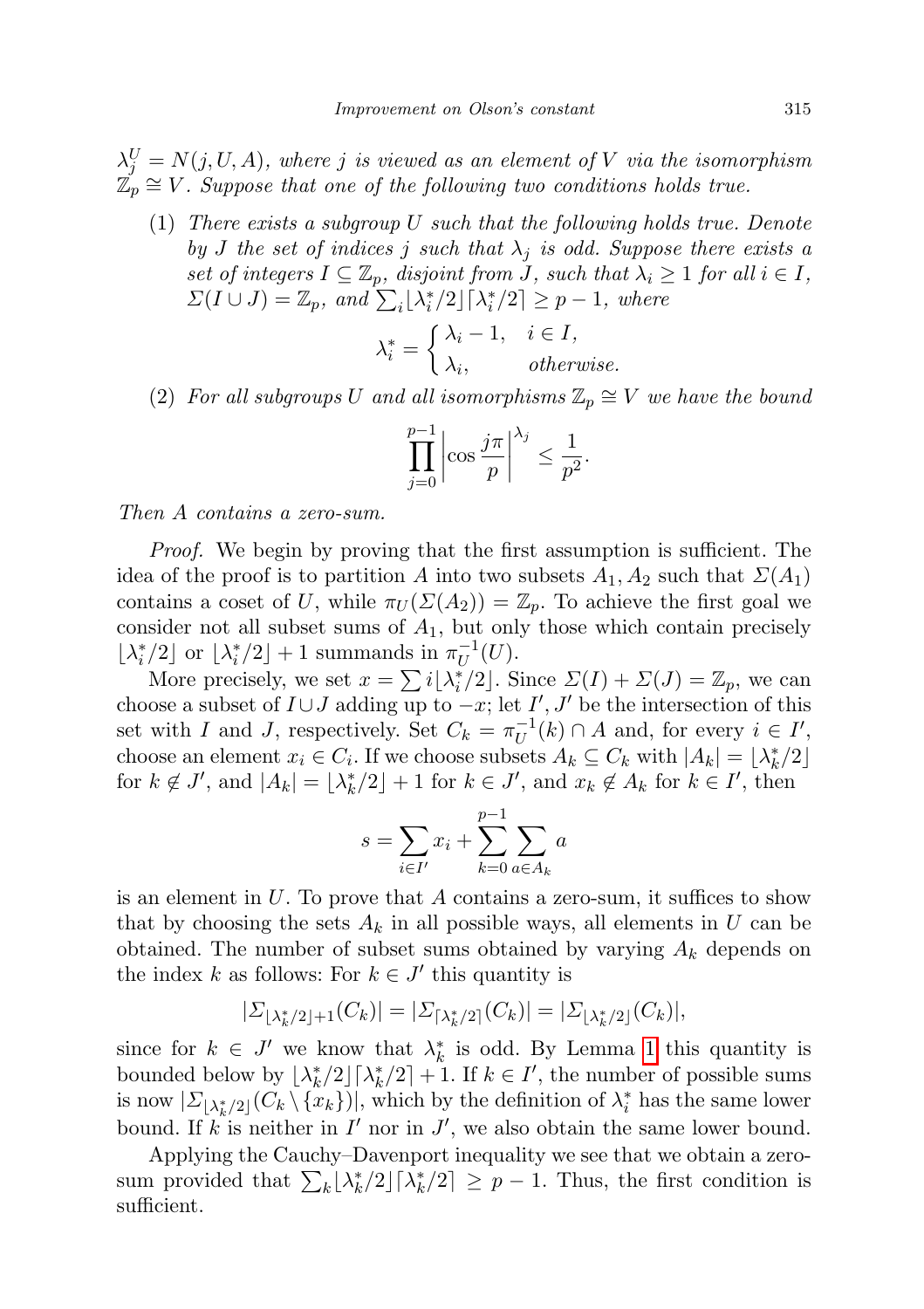$\lambda_j^U = N(j, U, A)$ , where j is viewed as an element of V via the isomorphism  $\mathbb{Z}_p \cong V$ . Suppose that one of the following two conditions holds true.

(1) There exists a subgroup U such that the following holds true. Denote by J the set of indices j such that  $\lambda_j$  is odd. Suppose there exists a set of integers  $I \subseteq \mathbb{Z}_p$ , disjoint from J, such that  $\lambda_i \geq 1$  for all  $i \in I$ ,  $\Sigma(I \cup J) = \mathbb{Z}_p$ , and  $\sum_i \lfloor \lambda_i^*/2 \rfloor \lceil \lambda_i^*/2 \rceil \geq p-1$ , where

$$
\lambda_i^* = \begin{cases} \lambda_i - 1, & i \in I, \\ \lambda_i, & otherwise. \end{cases}
$$

(2) For all subgroups U and all isomorphisms  $\mathbb{Z}_p \cong V$  we have the bound

$$
\prod_{j=0}^{p-1} \left| \cos \frac{j\pi}{p} \right| ^{\lambda_j} \le \frac{1}{p^2}.
$$

Then A contains a zero-sum.

Proof. We begin by proving that the first assumption is sufficient. The idea of the proof is to partition A into two subsets  $A_1, A_2$  such that  $\Sigma(A_1)$ contains a coset of U, while  $\pi_U(\Sigma(A_2)) = \mathbb{Z}_p$ . To achieve the first goal we consider not all subset sums of  $A_1$ , but only those which contain precisely  $\lfloor \lambda_i^*/2 \rfloor$  or  $\lfloor \lambda_i^*/2 \rfloor + 1$  summands in  $\pi_U^{-1}$  $U^{-1}(U).$ 

More precisely, we set  $x = \sum i[\lambda_i^*/2]$ . Since  $\Sigma(I) + \Sigma(J) = \mathbb{Z}_p$ , we can choose a subset of  $I \cup J$  adding up to  $-x$ ; let  $I', J'$  be the intersection of this set with I and J, respectively. Set  $C_k = \pi_U^{-1}$  $U^{-1}(k) \cap A$  and, for every  $i \in I'$ , choose an element  $x_i \in C_i$ . If we choose subsets  $A_k \subseteq C_k$  with  $|A_k| = \lfloor \lambda_k^*/2 \rfloor$ for  $k \notin J'$ , and  $|A_k| = \lfloor \lambda_k^*/2 \rfloor + 1$  for  $k \in J'$ , and  $x_k \notin A_k$  for  $k \in I'$ , then

$$
s = \sum_{i \in I'} x_i + \sum_{k=0}^{p-1} \sum_{a \in A_k} a
$$

is an element in  $U$ . To prove that  $A$  contains a zero-sum, it suffices to show that by choosing the sets  $A_k$  in all possible ways, all elements in U can be obtained. The number of subset sums obtained by varying  $A_k$  depends on the index k as follows: For  $k \in J'$  this quantity is

$$
|\Sigma_{\lfloor \lambda_k^*/2 \rfloor + 1}(C_k)| = |\Sigma_{\lceil \lambda_k^*/2 \rceil}(C_k)| = |\Sigma_{\lfloor \lambda_k^*/2 \rfloor}(C_k)|,
$$

since for  $k \in J'$  we know that  $\lambda_k^*$  is odd. By Lemma [1](#page-1-1) this quantity is bounded below by  $\lfloor \lambda_k^*/2 \rfloor \lceil \lambda_k^*/2 \rceil + 1$ . If  $k \in I'$ , the number of possible sums is now  $|\Sigma_{\lfloor \lambda_k^*/2\rfloor}(C_k \setminus {\{x_k\}})|$ , which by the definition of  $\lambda_i^*$  has the same lower bound. If k is neither in  $I'$  nor in  $J'$ , we also obtain the same lower bound.

Applying the Cauchy–Davenport inequality we see that we obtain a zerosum provided that  $\sum_{k} \lfloor \lambda_k^*/2 \rfloor \lceil \lambda_k^*/2 \rceil \geq p-1$ . Thus, the first condition is sufficient.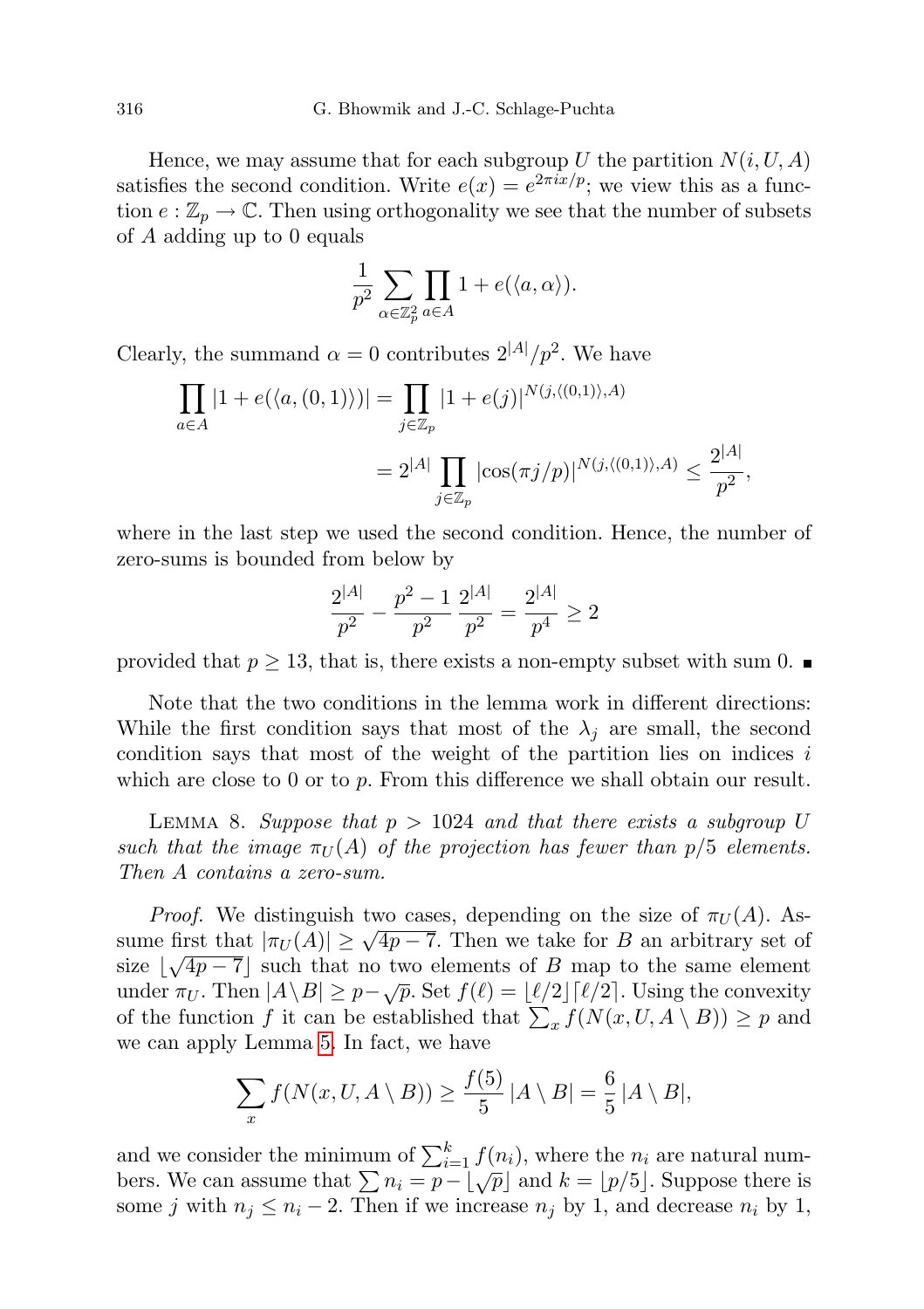Hence, we may assume that for each subgroup U the partition  $N(i, U, A)$ satisfies the second condition. Write  $e(x) = e^{2\pi i x/p}$ ; we view this as a function  $e : \mathbb{Z}_p \to \mathbb{C}$ . Then using orthogonality we see that the number of subsets of A adding up to 0 equals

$$
\frac{1}{p^2}\sum_{\alpha\in\mathbb{Z}_p^2}\prod_{a\in A}1+e(\langle a,\alpha\rangle).
$$

Clearly, the summand  $\alpha = 0$  contributes  $2^{|A|}/p^2$ . We have

$$
\prod_{a \in A} |1 + e(\langle a, (0, 1) \rangle)| = \prod_{j \in \mathbb{Z}_p} |1 + e(j)|^{N(j, \langle (0, 1) \rangle, A)}
$$
  
=  $2^{|A|} \prod_{j \in \mathbb{Z}_p} |\cos(\pi j/p)|^{N(j, \langle (0, 1) \rangle, A)} \le \frac{2^{|A|}}{p^2},$ 

where in the last step we used the second condition. Hence, the number of zero-sums is bounded from below by

$$
\frac{2^{|A|}}{p^2} - \frac{p^2 - 1}{p^2} \frac{2^{|A|}}{p^2} = \frac{2^{|A|}}{p^4} \ge 2
$$

provided that  $p \geq 13$ , that is, there exists a non-empty subset with sum 0.

Note that the two conditions in the lemma work in different directions: While the first condition says that most of the  $\lambda_i$  are small, the second condition says that most of the weight of the partition lies on indices  $i$ which are close to 0 or to  $p$ . From this difference we shall obtain our result.

<span id="page-5-0"></span>LEMMA 8. Suppose that  $p > 1024$  and that there exists a subgroup U such that the image  $\pi_U(A)$  of the projection has fewer than  $p/5$  elements. Then A contains a zero-sum.

*Proof.* We distinguish two cases, depending on the size of  $\pi_U(A)$ . As- $\frac{1}{U}$  Then we take for B an arbitrary set of  $\pi_U(A)$ . Assume first that  $|\pi_U(A)| \geq \sqrt{4p-7}$ . Then we take for B an arbitrary set of size  $\lfloor \sqrt{4p-7} \rfloor$  such that no two elements of B map to the same element size [ $\sqrt{4p} - i$ ] such that no two elements of *D* map to the same element under  $\pi_U$ . Then  $|A \setminus B| \geq p - \sqrt{p}$ . Set  $f(\ell) = \lfloor \ell/2 \rfloor \lceil \ell/2 \rceil$ . Using the convexity of the function f it can be established that  $\sum_x f(N(x, U, A \setminus B)) \geq p$  and we can apply Lemma [5.](#page-3-0) In fact, we have

$$
\sum_{x} f(N(x, U, A \setminus B)) \ge \frac{f(5)}{5} |A \setminus B| = \frac{6}{5} |A \setminus B|,
$$

and we consider the minimum of  $\sum_{i=1}^{k} f(n_i)$ , where the  $n_i$  are natural numbers. We can assume that  $\sum n_i = p - \lfloor \sqrt{p} \rfloor$  and  $k = \lfloor p/5 \rfloor$ . Suppose there is some j with  $n_j \leq n_i - 2$ . Then if we increase  $n_j$  by 1, and decrease  $n_i$  by 1,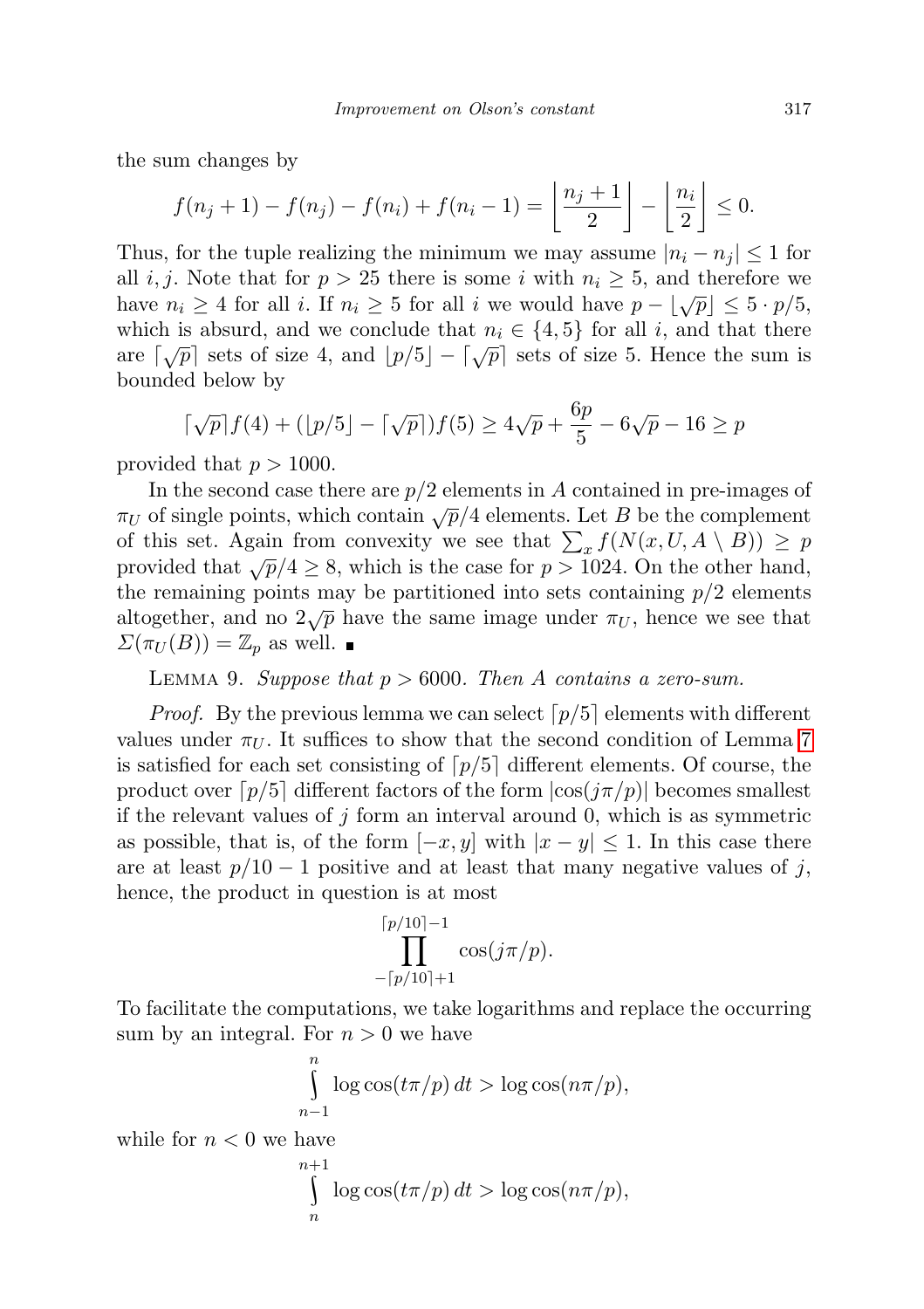the sum changes by

$$
f(n_j+1)-f(n_j)-f(n_i)+f(n_i-1)=\left\lfloor\frac{n_j+1}{2}\right\rfloor-\left\lfloor\frac{n_i}{2}\right\rfloor\leq 0.
$$

Thus, for the tuple realizing the minimum we may assume  $|n_i - n_j| \leq 1$  for all i, j. Note that for  $p > 25$  there is some i with  $n_i \geq 5$ , and therefore we have  $n_i \geq 4$  for all i. If  $n_i \geq 5$  for all i we would have  $p - \lfloor \sqrt{p} \rfloor \leq 5 \cdot p/5$ , which is absurd, and we conclude that  $n_i \in \{4, 5\}$  for all i, and that there which is absurd, and we conclude that  $h_i \in \{4, 6\}$  for an i, and that there are  $\lceil \sqrt{p} \rceil$  sets of size 4, and  $\lfloor p/5 \rfloor - \lceil \sqrt{p} \rceil$  sets of size 5. Hence the sum is bounded below by

$$
\lceil \sqrt{p} \rceil f(4) + (\lfloor p/5 \rfloor - \lceil \sqrt{p} \rceil) f(5) \ge 4\sqrt{p} + \frac{6p}{5} - 6\sqrt{p} - 16 \ge p
$$

provided that  $p > 1000$ .

In the second case there are  $p/2$  elements in A contained in pre-images of  $\pi_U$  of single points, which contain  $\sqrt{p}/4$  elements. Let B be the complement of this set. Again from convexity we see that  $\sum_x f(N(x, U, A \setminus B)) \geq p$ provided that  $\sqrt{p}/4 \geq 8$ , which is the case for  $p > 1024$ . On the other hand, the remaining points may be partitioned into sets containing  $p/2$  elements altogether, and no  $2\sqrt{p}$  have the same image under  $\pi_U$ , hence we see that  $\Sigma(\pi_U(B)) = \mathbb{Z}_p$  as well.  $\blacksquare$ 

## LEMMA 9. Suppose that  $p > 6000$ . Then A contains a zero-sum.

*Proof.* By the previous lemma we can select  $\lceil p/5 \rceil$  elements with different values under  $\pi_U$ . It suffices to show that the second condition of Lemma [7](#page-3-1) is satisfied for each set consisting of  $p/5$  different elements. Of course, the product over  $[p/5]$  different factors of the form  $|\cos(j\pi/p)|$  becomes smallest if the relevant values of j form an interval around 0, which is as symmetric as possible, that is, of the form  $[-x, y]$  with  $|x - y| \leq 1$ . In this case there are at least  $p/10-1$  positive and at least that many negative values of j, hence, the product in question is at most

$$
\prod_{-[p/10]+1}^{[p/10]-1} \cos(j\pi/p).
$$

To facilitate the computations, we take logarithms and replace the occurring sum by an integral. For  $n > 0$  we have

$$
\int_{n-1}^{n} \log \cos(t\pi/p) dt > \log \cos(n\pi/p),
$$

while for  $n < 0$  we have

$$
\int_{n}^{n+1} \log \cos(t\pi/p) dt > \log \cos(n\pi/p),
$$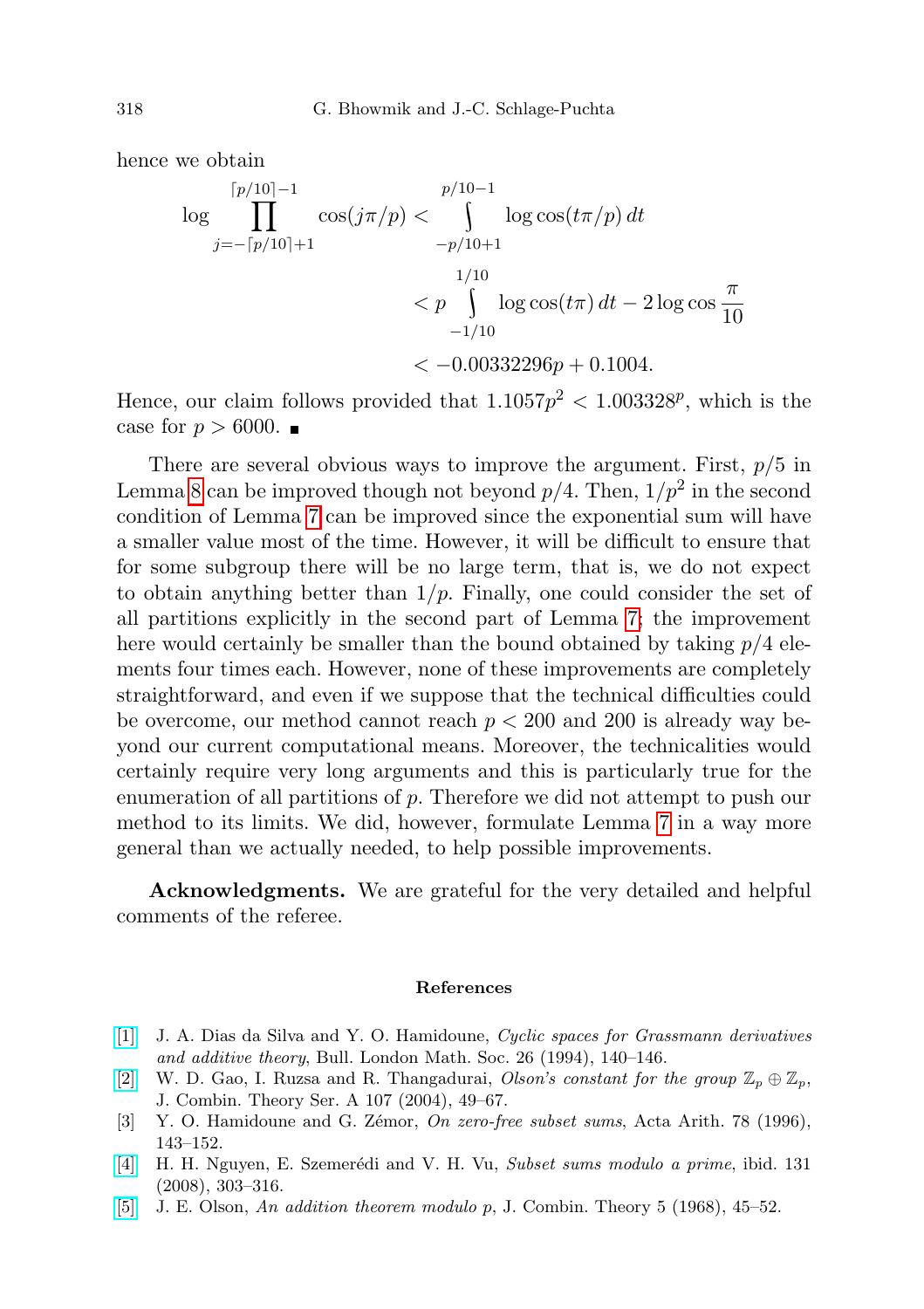hence we obtain

$$
\log \prod_{j=-\lceil p/10 \rceil+1}^{\lceil p/10 \rceil-1} \cos(j\pi/p) < \int \limits_{-p/10+1}^{\lceil p/10 \rceil-1} \log \cos(t\pi/p) dt
$$
\n
$$
< p \int \limits_{-1/10}^{1/10} \log \cos(t\pi) dt - 2 \log \cos \frac{\pi}{10}
$$
\n
$$
< -0.00332296p + 0.1004.
$$

Hence, our claim follows provided that  $1.1057p^2 < 1.003328^p$ , which is the case for  $p > 6000$ .

There are several obvious ways to improve the argument. First,  $p/5$  in Lemma [8](#page-5-0) can be improved though not beyond  $p/4$ . Then,  $1/p^2$  in the second condition of Lemma [7](#page-3-1) can be improved since the exponential sum will have a smaller value most of the time. However, it will be difficult to ensure that for some subgroup there will be no large term, that is, we do not expect to obtain anything better than  $1/p$ . Finally, one could consider the set of all partitions explicitly in the second part of Lemma [7;](#page-3-1) the improvement here would certainly be smaller than the bound obtained by taking  $p/4$  elements four times each. However, none of these improvements are completely straightforward, and even if we suppose that the technical difficulties could be overcome, our method cannot reach  $p < 200$  and 200 is already way beyond our current computational means. Moreover, the technicalities would certainly require very long arguments and this is particularly true for the enumeration of all partitions of p. Therefore we did not attempt to push our method to its limits. We did, however, formulate Lemma [7](#page-3-1) in a way more general than we actually needed, to help possible improvements.

Acknowledgments. We are grateful for the very detailed and helpful comments of the referee.

## References

- <span id="page-7-3"></span>[\[1\]](http://dx.doi.org/10.1112/blms/26.2.140) J. A. Dias da Silva and Y. O. Hamidoune, Cyclic spaces for Grassmann derivatives and additive theory, Bull. London Math. Soc. 26 (1994), 140–146.
- <span id="page-7-1"></span>[\[2\]](http://dx.doi.org/10.1016/j.jcta.2004.03.007) W. D. Gao, I. Ruzsa and R. Thangadurai, Olson's constant for the group  $\mathbb{Z}_p \oplus \mathbb{Z}_p$ , J. Combin. Theory Ser. A 107 (2004), 49–67.
- <span id="page-7-2"></span>[3] Y. O. Hamidoune and G. Zémor, On zero-free subset sums, Acta Arith. 78 (1996), 143–152.
- <span id="page-7-0"></span>[\[4\]](http://dx.doi.org/10.4064/aa131-4-1) H. H. Nguyen, E. Szemerédi and V. H. Vu, Subset sums modulo a prime, ibid. 131 (2008), 303–316.
- <span id="page-7-4"></span>[\[5\]](http://dx.doi.org/10.1016/S0021-9800(68)80027-4) J. E. Olson, An addition theorem modulo p, J. Combin. Theory 5 (1968), 45–52.